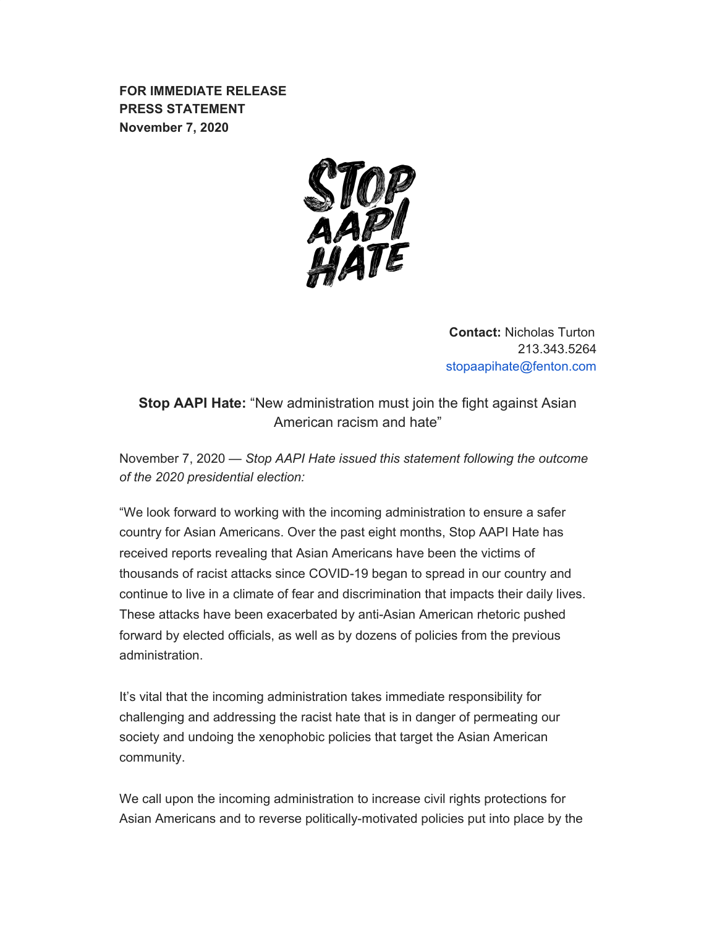**FOR IMMEDIATE RELEASE PRESS STATEMENT November 7, 2020**



**Contact:** Nicholas Turton 213.343.5264 stopaapihate@fenton.com

**Stop AAPI Hate:** "New administration must join the fight against Asian American racism and hate"

November 7, 2020 — *Stop AAPI Hate issued this statement following the outcome of the 2020 presidential election:*

"We look forward to working with the incoming administration to ensure a safer country for Asian Americans. Over the past eight months, Stop AAPI Hate has received reports revealing that Asian Americans have been the victims of thousands of racist attacks since COVID-19 began to spread in our country and continue to live in a climate of fear and discrimination that impacts their daily lives. These attacks have been exacerbated by anti-Asian American rhetoric pushed forward by elected officials, as well as by dozens of policies from the previous administration.

It's vital that the incoming administration takes immediate responsibility for challenging and addressing the racist hate that is in danger of permeating our society and undoing the xenophobic policies that target the Asian American community.

We call upon the incoming administration to increase civil rights protections for Asian Americans and to reverse politically-motivated policies put into place by the